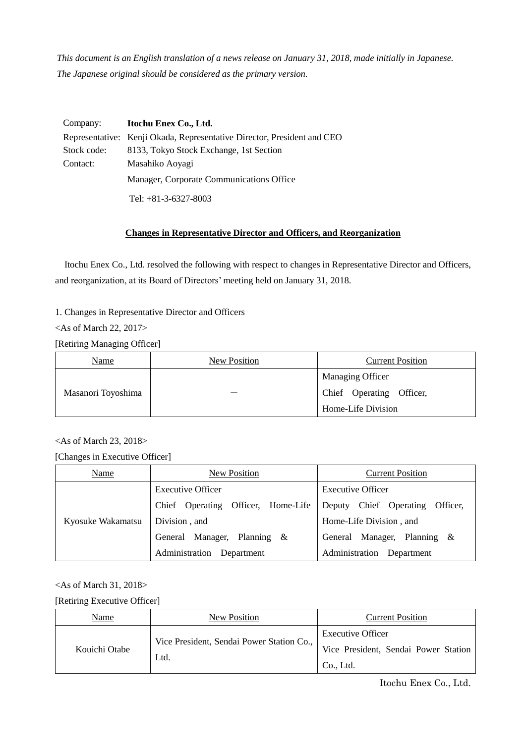*This document is an English translation of a news release on January 31, 2018, made initially in Japanese. The Japanese original should be considered as the primary version.*

| Company:    | Itochu Enex Co., Ltd.                                                   |
|-------------|-------------------------------------------------------------------------|
|             | Representative: Kenji Okada, Representative Director, President and CEO |
| Stock code: | 8133, Tokyo Stock Exchange, 1st Section                                 |
| Contact:    | Masahiko Aoyagi                                                         |
|             | Manager, Corporate Communications Office                                |
|             | Tel: $+81-3-6327-8003$                                                  |

# **Changes in Representative Director and Officers, and Reorganization**

Itochu Enex Co., Ltd. resolved the following with respect to changes in Representative Director and Officers, and reorganization, at its Board of Directors' meeting held on January 31, 2018.

1. Changes in Representative Director and Officers

<As of March 22, 2017>

[Retiring Managing Officer]

| Name               | New Position | <b>Current Position</b>  |
|--------------------|--------------|--------------------------|
|                    |              | <b>Managing Officer</b>  |
| Masanori Toyoshima |              | Chief Operating Officer, |
|                    |              | Home-Life Division       |

# <As of March 23, 2018>

[Changes in Executive Officer]

| Name              | New Position                          | <b>Current Position</b>            |
|-------------------|---------------------------------------|------------------------------------|
|                   | <b>Executive Officer</b>              | <b>Executive Officer</b>           |
|                   | Officer, Home-Life<br>Chief Operating | Deputy Chief Operating<br>Officer, |
| Kyosuke Wakamatsu | Division, and                         | Home-Life Division, and            |
|                   | General Manager, Planning &           | General Manager, Planning &        |
|                   | Administration Department             | Administration Department          |

# <As of March 31, 2018>

[Retiring Executive Officer]

| Name          | New Position                              | <b>Current Position</b>              |
|---------------|-------------------------------------------|--------------------------------------|
|               | Vice President, Sendai Power Station Co., | <b>Executive Officer</b>             |
| Kouichi Otabe | Ltd.                                      | Vice President, Sendai Power Station |
|               |                                           | Co., Ltd.                            |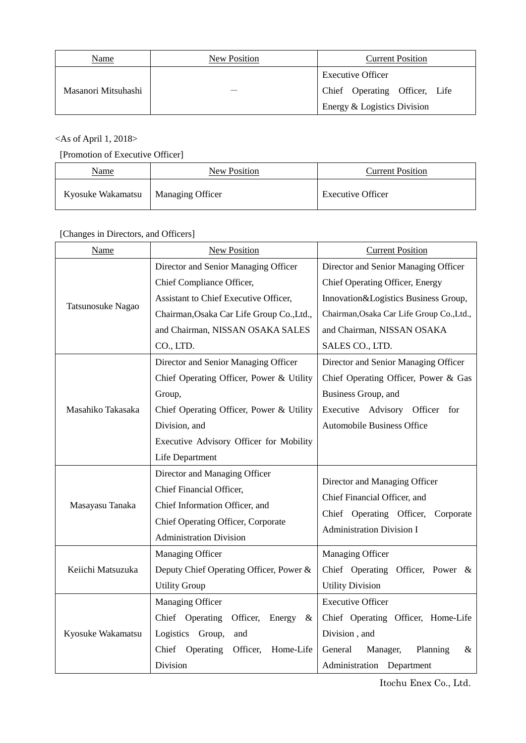| Name                | New Position | <b>Current Position</b>       |
|---------------------|--------------|-------------------------------|
|                     |              | <b>Executive Officer</b>      |
| Masanori Mitsuhashi |              | Chief Operating Officer, Life |
|                     |              | Energy & Logistics Division   |

# <As of April 1, 2018>

# [Promotion of Executive Officer]

| Name              | New Position            | <b>Current Position</b>  |
|-------------------|-------------------------|--------------------------|
| Kyosuke Wakamatsu | <b>Managing Officer</b> | <b>Executive Officer</b> |

# [Changes in Directors, and Officers]

| Name              | New Position                               | <b>Current Position</b>                   |
|-------------------|--------------------------------------------|-------------------------------------------|
|                   | Director and Senior Managing Officer       | Director and Senior Managing Officer      |
|                   | Chief Compliance Officer,                  | Chief Operating Officer, Energy           |
|                   | Assistant to Chief Executive Officer,      | Innovation&Logistics Business Group,      |
| Tatsunosuke Nagao | Chairman, Osaka Car Life Group Co., Ltd.,  | Chairman, Osaka Car Life Group Co., Ltd., |
|                   | and Chairman, NISSAN OSAKA SALES           | and Chairman, NISSAN OSAKA                |
|                   | CO., LTD.                                  | SALES CO., LTD.                           |
|                   | Director and Senior Managing Officer       | Director and Senior Managing Officer      |
|                   | Chief Operating Officer, Power & Utility   | Chief Operating Officer, Power & Gas      |
|                   | Group,                                     | Business Group, and                       |
| Masahiko Takasaka | Chief Operating Officer, Power & Utility   | Executive Advisory Officer for            |
|                   | Division, and                              | <b>Automobile Business Office</b>         |
|                   | Executive Advisory Officer for Mobility    |                                           |
|                   | Life Department                            |                                           |
|                   | Director and Managing Officer              | Director and Managing Officer             |
|                   | Chief Financial Officer,                   | Chief Financial Officer, and              |
| Masayasu Tanaka   | Chief Information Officer, and             | Chief Operating Officer,<br>Corporate     |
|                   | Chief Operating Officer, Corporate         | <b>Administration Division I</b>          |
|                   | <b>Administration Division</b>             |                                           |
|                   | Managing Officer                           | Managing Officer                          |
| Keiichi Matsuzuka | Deputy Chief Operating Officer, Power &    | Chief Operating Officer, Power &          |
|                   | <b>Utility Group</b>                       | <b>Utility Division</b>                   |
|                   | Managing Officer                           | <b>Executive Officer</b>                  |
| Kyosuke Wakamatsu | Chief Operating<br>Officer,<br>Energy<br>& | Chief Operating Officer, Home-Life        |
|                   | Logistics Group,<br>and                    | Division, and                             |
|                   | Chief Operating<br>Officer,<br>Home-Life   | Manager,<br>Planning<br>General<br>&      |
|                   | Division                                   | Administration Department                 |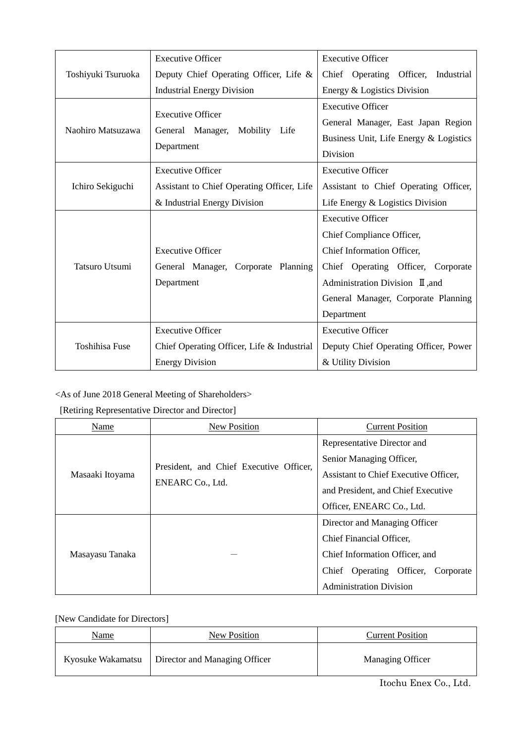|                       | <b>Executive Officer</b>                                                                         | <b>Executive Officer</b>                                                                                                                                                                        |
|-----------------------|--------------------------------------------------------------------------------------------------|-------------------------------------------------------------------------------------------------------------------------------------------------------------------------------------------------|
| Toshiyuki Tsuruoka    | Deputy Chief Operating Officer, Life &                                                           | Chief Operating Officer, Industrial                                                                                                                                                             |
|                       | <b>Industrial Energy Division</b>                                                                | Energy & Logistics Division                                                                                                                                                                     |
| Naohiro Matsuzawa     | <b>Executive Officer</b><br>General Manager, Mobility Life<br>Department                         | <b>Executive Officer</b><br>General Manager, East Japan Region<br>Business Unit, Life Energy & Logistics<br><b>Division</b>                                                                     |
| Ichiro Sekiguchi      | <b>Executive Officer</b><br>Assistant to Chief Operating Officer, Life                           | <b>Executive Officer</b><br>Assistant to Chief Operating Officer,                                                                                                                               |
|                       | & Industrial Energy Division                                                                     | Life Energy & Logistics Division<br><b>Executive Officer</b>                                                                                                                                    |
| <b>Tatsuro Utsumi</b> | <b>Executive Officer</b><br>General Manager, Corporate Planning<br>Department                    | Chief Compliance Officer,<br>Chief Information Officer,<br>Chief Operating Officer, Corporate<br>Administration Division $\mathbb I$ , and<br>General Manager, Corporate Planning<br>Department |
| <b>Toshihisa Fuse</b> | <b>Executive Officer</b><br>Chief Operating Officer, Life & Industrial<br><b>Energy Division</b> | <b>Executive Officer</b><br>Deputy Chief Operating Officer, Power<br>& Utility Division                                                                                                         |

# <As of June 2018 General Meeting of Shareholders>

# [Retiring Representative Director and Director]

| Name            | New Position                                                | <b>Current Position</b>               |
|-----------------|-------------------------------------------------------------|---------------------------------------|
|                 | President, and Chief Executive Officer,<br>ENEARC Co., Ltd. | Representative Director and           |
|                 |                                                             | Senior Managing Officer,              |
| Masaaki Itoyama |                                                             | Assistant to Chief Executive Officer, |
|                 |                                                             | and President, and Chief Executive    |
|                 |                                                             | Officer, ENEARC Co., Ltd.             |
|                 |                                                             | Director and Managing Officer         |
| Masayasu Tanaka |                                                             | Chief Financial Officer,              |
|                 |                                                             | Chief Information Officer, and        |
|                 |                                                             | Chief Operating Officer,<br>Corporate |
|                 |                                                             | <b>Administration Division</b>        |

# [New Candidate for Directors]

| Name              | New Position                  | <b>Current Position</b> |
|-------------------|-------------------------------|-------------------------|
| Kyosuke Wakamatsu | Director and Managing Officer | Managing Officer        |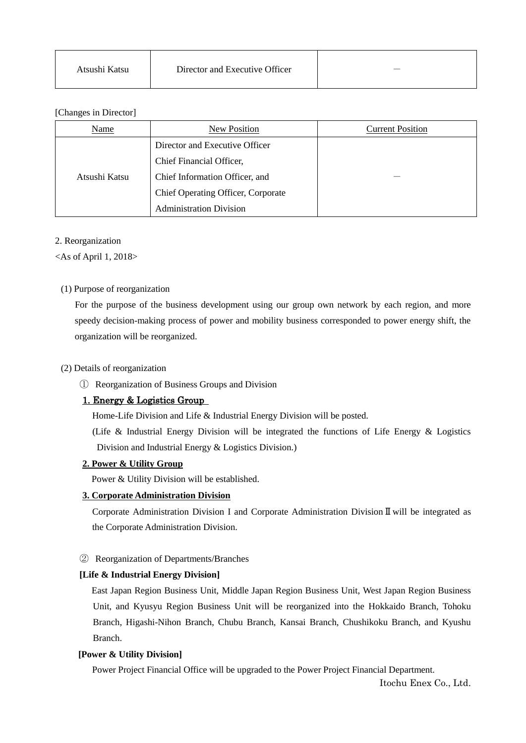| Atsushi Katsu | Director and Executive Officer | $\overline{\phantom{a}}$ |
|---------------|--------------------------------|--------------------------|
|---------------|--------------------------------|--------------------------|

## [Changes in Director]

| Name          | New Position                       | <b>Current Position</b> |
|---------------|------------------------------------|-------------------------|
|               | Director and Executive Officer     |                         |
|               | Chief Financial Officer,           |                         |
| Atsushi Katsu | Chief Information Officer, and     |                         |
|               | Chief Operating Officer, Corporate |                         |
|               | <b>Administration Division</b>     |                         |

#### 2. Reorganization

 $\langle$ As of April 1, 2018 $>$ 

# (1) Purpose of reorganization

For the purpose of the business development using our group own network by each region, and more speedy decision-making process of power and mobility business corresponded to power energy shift, the organization will be reorganized.

#### (2) Details of reorganization

① Reorganization of Business Groups and Division

# 1. Energy & Logistics Group

Home-Life Division and Life & Industrial Energy Division will be posted.

 (Life & Industrial Energy Division will be integrated the functions of Life Energy & Logistics Division and Industrial Energy & Logistics Division.)

#### **2. Power & Utility Group**

Power & Utility Division will be established.

#### **3. Corporate Administration Division**

Corporate Administration Division I and Corporate Administration DivisionⅡwill be integrated as the Corporate Administration Division.

## ② Reorganization of Departments/Branches

# **[Life & Industrial Energy Division]**

East Japan Region Business Unit, Middle Japan Region Business Unit, West Japan Region Business Unit, and Kyusyu Region Business Unit will be reorganized into the Hokkaido Branch, Tohoku Branch, Higashi-Nihon Branch, Chubu Branch, Kansai Branch, Chushikoku Branch, and Kyushu Branch.

# **[Power & Utility Division]**

Power Project Financial Office will be upgraded to the Power Project Financial Department.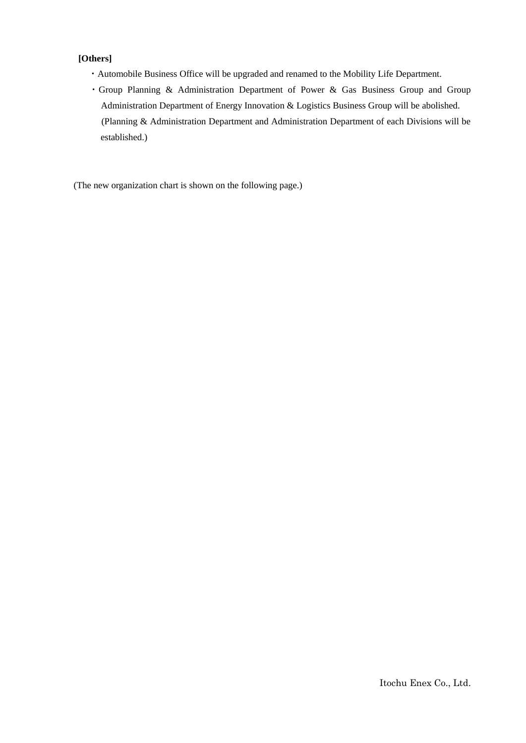# **[Others]**

- ・Automobile Business Office will be upgraded and renamed to the Mobility Life Department.
- ・Group Planning & Administration Department of Power & Gas Business Group and Group Administration Department of Energy Innovation & Logistics Business Group will be abolished. (Planning & Administration Department and Administration Department of each Divisions will be established.)

(The new organization chart is shown on the following page.)